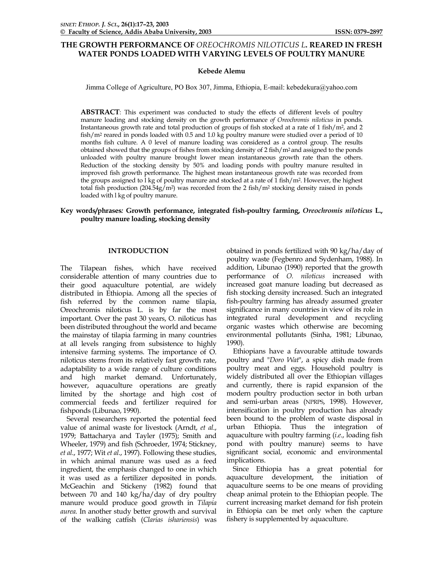# **THE GROWTH PERFORMANCE OF** *OREOCHROMIS NILOTICUS L***. REARED IN FRESH WATER PONDS LOADED WITH VARYING LEVELS OF POULTRY MANURE**

## **Kebede Alemu**

Jimma College of Agriculture, PO Box 307, Jimma, Ethiopia, E-mail: kebedekura@yahoo.com

**ABSTRACT**: This experiment was conducted to study the effects of different levels of poultry manure loading and stocking density on the growth performance *of Oreochromis niloticus* in ponds. Instantaneous growth rate and total production of groups of fish stocked at a rate of  $1$  fish/m<sup>2</sup>, and  $2$ fish/m2 reared in ponds loaded with 0.5 and 1.0 kg poultry manure were studied over a period of 10 months fish culture. A 0 level of manure loading was considered as a control group. The results obtained showed that the groups of fishes from stocking density of 2 fish/m2 and assigned to the ponds unloaded with poultry manure brought lower mean instantaneous growth rate than the others. Reduction of the stocking density by 50% and loading ponds with poultry manure resulted in improved fish growth performance. The highest mean instantaneous growth rate was recorded from the groups assigned to  $\overline{1}$  kg of poultry manure and stocked at a rate of  $\overline{1}$  fish/m<sup>2</sup>. However, the highest total fish production (204.54g/m<sup>2</sup>) was recorded from the 2 fish/m<sup>2</sup> stocking density raised in ponds loaded with l kg of poultry manure.

# **Key words/phrases***:* **Growth performance, integrated fish-poultry farming,** *Oreochromis niloticus* **L., poultry manure loading, stocking density**

# **INTRODUCTION**

The Tilapean fishes, which have received considerable attention of many countries due to their good aquaculture potential, are widely distributed in Ethiopia. Among all the species of fish referred by the common name tilapia, Oreochromis niloticus L. is by far the most important. Over the past 30 years, O. niloticus has been distributed throughout the world and became the mainstay of tilapia farming in many countries at all levels ranging from subsistence to highly intensive farming systems. The importance of O. niloticus stems from its relatively fast growth rate, adaptability to a wide range of culture conditions and high market demand. Unfortunately, however, aquaculture operations are greatly limited by the shortage and high cost of commercial feeds and fertilizer required for fishponds (Libunao, 1990).

 Several researchers reported the potential feed value of animal waste for livestock (Arndt, *et al*., 1979; Battacharya and Tayler (1975); Smith and Wheeler, 1979) and fish (Schroeder, 1974; Stickney, *et al*., 1977; Wit *et al*., 1997). Following these studies, in which animal manure was used as a feed ingredient, the emphasis changed to one in which it was used as a fertilizer deposited in ponds. McGeachin and Stickeny (1982) found that between 70 and 140 kg/ha/day of dry poultry manure would produce good growth in *Tilapia aurea.* In another study better growth and survival of the walking catfish (*Clarias ishariensis*) was

obtained in ponds fertilized with 90 kg/ha/day of poultry waste (Fegbenro and Sydenham, 1988). In addition, Libunao (1990) reported that the growth performance of *O. niloticus* increased with increased goat manure loading but decreased as fish stocking density increased. Such an integrated fish-poultry farming has already assumed greater significance in many countries in view of its role in integrated rural development and recycling organic wastes which otherwise are becoming environmental pollutants (Sinha, 1981; Libunao, 1990).

 Ethiopians have a favourable attitude towards poultry and "*Doro Wat*", a spicy dish made from poultry meat and eggs. Household poultry is widely distributed all over the Ethiopian villages and currently, there is rapid expansion of the modern poultry production sector in both urban and semi-urban areas (NPRPS, 1998). However, intensification in poultry production has already been bound to the problem of waste disposal in urban Ethiopia. Thus the integration of aquaculture with poultry farming (*i.e*., loading fish pond with poultry manure) seems to have significant social, economic and environmental implications.

 Since Ethiopia has a great potential for aquaculture development, the initiation of aquaculture seems to be one means of providing cheap animal protein to the Ethiopian people. The current increasing market demand for fish protein in Ethiopia can be met only when the capture fishery is supplemented by aquaculture.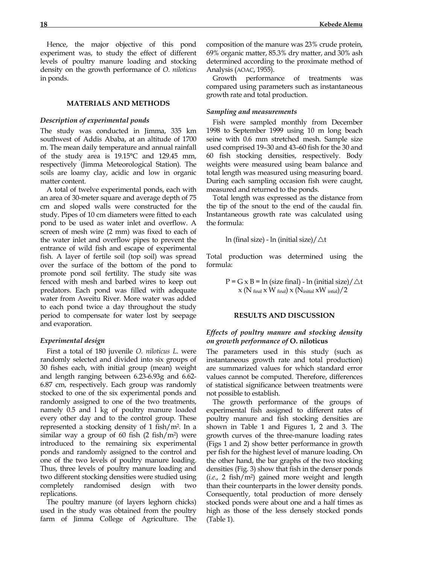Hence, the major objective of this pond experiment was, to study the effect of different levels of poultry manure loading and stocking density on the growth performance of *O. niloticus* in ponds.

# **MATERIALS AND METHODS**

## *Description of experimental ponds*

The study was conducted in Jimma, 335 km southwest of Addis Ababa, at an altitude of 1700 m. The mean daily temperature and annual rainfall of the study area is 19.15°C and 129.45 mm, respectively (Jimma Meteorological Station). The soils are loamy clay, acidic and low in organic matter content.

 A total of twelve experimental ponds, each with an area of 30-meter square and average depth of 75 cm and sloped walls were constructed for the study. Pipes of 10 cm diameters were fitted to each pond to be used as water inlet and overflow. A screen of mesh wire (2 mm) was fixed to each of the water inlet and overflow pipes to prevent the entrance of wild fish and escape of experimental fish. A layer of fertile soil (top soil) was spread over the surface of the bottom of the pond to promote pond soil fertility. The study site was fenced with mesh and barbed wires to keep out predators. Each pond was filled with adequate water from Aweitu River. More water was added to each pond twice a day throughout the study period to compensate for water lost by seepage and evaporation.

#### *Experimental design*

 First a total of 180 juvenile *O. niloticus L*. were randomly selected and divided into six groups of 30 fishes each, with initial group (mean) weight and length ranging between 6.23-6.93g and 6.62- 6.87 cm, respectively. Each group was randomly stocked to one of the six experimental ponds and randomly assigned to one of the two treatments, namely 0.5 and l kg of poultry manure loaded every other day and to the control group. These represented a stocking density of 1 fish/m2. In a similar way a group of 60 fish  $(2 \text{ fish/m}^2)$  were introduced to the remaining six experimental ponds and randomly assigned to the control and one of the two levels of poultry manure loading. Thus, three levels of poultry manure loading and two different stocking densities were studied using completely randomised design with two replications.

 The poultry manure (of layers leghorn chicks) used in the study was obtained from the poultry farm of Jimma College of Agriculture. The composition of the manure was 23% crude protein, 69% organic matter, 85.3% dry matter, and 30% ash determined according to the proximate method of Analysis (AOAC, 1955).

 Growth performance of treatments was compared using parameters such as instantaneous growth rate and total production.

### *Sampling and measurements*

 Fish were sampled monthly from December 1998 to September 1999 using 10 m long beach seine with 0.6 mm stretched mesh. Sample size used comprised 19–30 and 43–60 fish for the 30 and 60 fish stocking densities, respectively. Body weights were measured using beam balance and total length was measured using measuring board. During each sampling occasion fish were caught, measured and returned to the ponds.

 Total length was expressed as the distance from the tip of the snout to the end of the caudal fin. Instantaneous growth rate was calculated using the formula:

$$
\ln
$$
 (final size) -  $\ln$  (initial size)/  $\Delta t$ 

Total production was determined using the formula:

$$
P = G \times B = \ln (\text{size final}) - \ln (\text{initial size}) / \triangle t
$$
  
 
$$
\times (N_{\text{final}} \times W_{\text{final}}) \times (N_{\text{initial}} \times W_{\text{initial}}) / 2
$$

#### **RESULTS AND DISCUSSION**

## *Effects of poultry manure and stocking density on growth performance of* **O. niloticus**

The parameters used in this study (such as instantaneous growth rate and total production) are summarized values for which standard error values cannot be computed. Therefore, differences of statistical significance between treatments were not possible to establish.

 The growth performance of the groups of experimental fish assigned to different rates of poultry manure and fish stocking densities are shown in Table 1 and Figures 1, 2 and 3. The growth curves of the three-manure loading rates (Figs 1 and 2) show better performance in growth per fish for the highest level of manure loading. On the other hand, the bar graphs of the two stocking densities (Fig. 3) show that fish in the denser ponds (*i.e*., 2 fish/m2) gained more weight and length than their counterparts in the lower density ponds. Consequently, total production of more densely stocked ponds were about one and a half times as high as those of the less densely stocked ponds (Table 1).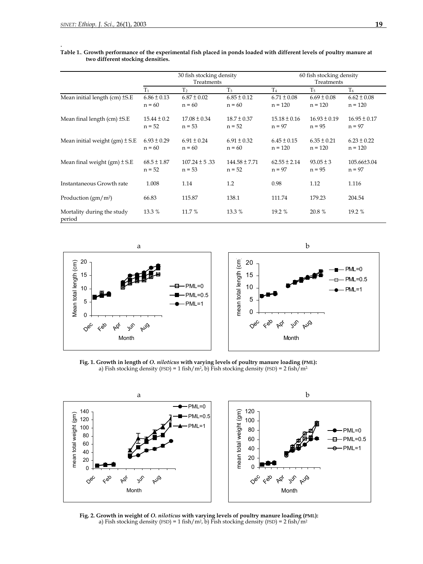.

### **Table 1.**. **Growth performance of the experimental fish placed in ponds loaded with different levels of poultry manure at two different stocking densities.**

|                                      | 30 fish stocking density<br>Treatments |                               |                               | 60 fish stocking density<br>Treatments |                              |                              |
|--------------------------------------|----------------------------------------|-------------------------------|-------------------------------|----------------------------------------|------------------------------|------------------------------|
|                                      | $T_1$                                  | T <sub>2</sub>                | T <sub>3</sub>                | T <sub>4</sub>                         | T <sub>5</sub>               | T <sub>6</sub>               |
| Mean initial length $(cm) \pm S.E$   | $6.86 \pm 0.13$<br>$n = 60$            | $6.87 \pm 0.02$<br>$n = 60$   | $6.85 \pm 0.12$<br>$n = 60$   | $6.71 \pm 0.08$<br>$n = 120$           | $6.69 \pm 0.08$<br>$n = 120$ | $6.62 \pm 0.08$<br>$n = 120$ |
| Mean final length $(cm) \pm S.E$     | $15.44 \pm 0.2$<br>$n = 52$            | $17.08 \pm 0.34$<br>$n = 53$  | $18.7 \pm 0.37$<br>$n = 52$   | $15.18 \pm 0.16$<br>$n = 97$           | $16.93 \pm 0.19$<br>$n = 95$ | $16.95 \pm 0.17$<br>$n = 97$ |
| Mean initial weight $(gm) \pm S.E$   | $6.93 \pm 0.29$<br>$n = 60$            | $6.91 \pm 0.24$<br>$n = 60$   | $6.91 \pm 0.32$<br>$n = 60$   | $6.45 \pm 0.15$<br>$n = 120$           | $6.35 \pm 0.21$<br>$n = 120$ | $6.23 \pm 0.22$<br>$n = 120$ |
| Mean final weight $(gm) \pm S.E$     | $68.5 \pm 1.87$<br>$n = 52$            | $107.24 \pm 5.33$<br>$n = 53$ | $144.58 \pm 7.71$<br>$n = 52$ | $62.55 \pm 2.14$<br>$n = 97$           | $93.05 \pm 3$<br>$n = 95$    | 105.66±3.04<br>$n = 97$      |
| Instantaneous Growth rate            | 1.008                                  | 1.14                          | 1.2                           | 0.98                                   | 1.12                         | 1.116                        |
| Production $(gm/m^2)$                | 66.83                                  | 115.87                        | 138.1                         | 111.74                                 | 179.23                       | 204.54                       |
| Mortality during the study<br>period | 13.3 %                                 | 11.7 %                        | 13.3 %                        | 19.2 %                                 | 20.8 %                       | 19.2 %                       |



**Fig. 1. Growth in length of** *O. niloticus* **with varying levels of poultry manure loading (PML):** a) Fish stocking density (FSD) = 1 fish/m<sup>2</sup>, b) Fish stocking density (FSD) = 2 fish/m<sup>2</sup>.



**Fig. 2. Growth in weight of** *O. niloticus* **with varying levels of poultry manure loading (PML):**  a) Fish stocking density (FSD) = 1 fish/m<sup>2</sup>, b) Fish stocking density (FSD) = 2 fish/m<sup>2</sup>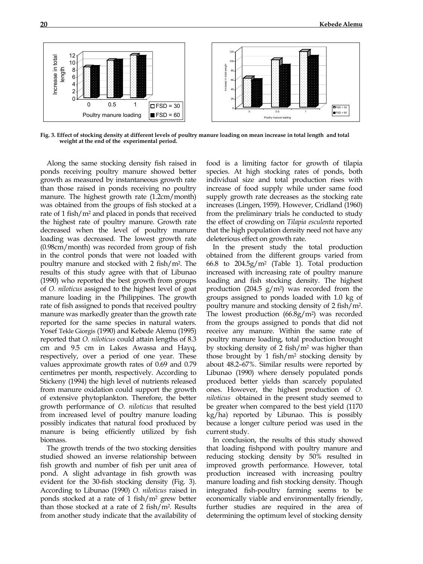

**Fig. 3. Effect of stocking density at different levels of poultry manure loading on mean increase in total length and total weight at the end of the experimental period.**

Along the same stocking density fish raised in ponds receiving poultry manure showed better growth as measured by instantaneous growth rate than those raised in ponds receiving no poultry manure. The highest growth rate (1.2cm/month) was obtained from the groups of fish stocked at a rate of 1 fish/m2 and placed in ponds that received the highest rate of poultry manure. Growth rate decreased when the level of poultry manure loading was decreased. The lowest growth rate (0.98cm/month) was recorded from group of fish in the control ponds that were not loaded with poultry manure and stocked with 2 fish/m2. The results of this study agree with that of Libunao (1990) who reported the best growth from groups of *O. niloticus* assigned to the highest level of goat manure loading in the Philippines. The growth rate of fish assigned to ponds that received poultry manure was markedly greater than the growth rate reported for the same species in natural waters. Yosef Tekle Giorgis (1990) and Kebede Alemu (1995) reported that *O. niloticus* could attain lengths of 8.3 cm and 9.5 cm in Lakes Awassa and Hayq, respectively, over a period of one year. These values approximate growth rates of 0.69 and 0.79 centimetres per month, respectively. According to Stickeny (1994) the high level of nutrients released from manure oxidation could support the growth of extensive phytoplankton. Therefore, the better growth performance of *O. niloticus* that resulted from increased level of poultry manure loading possibly indicates that natural food produced by manure is being efficiently utilized by fish biomass.

The growth trends of the two stocking densities studied showed an inverse relationship between fish growth and number of fish per unit area of pond. A slight advantage in fish growth was evident for the 30-fish stocking density (Fig. 3). According to Libunao (1990) *O. niloticus* raised in ponds stocked at a rate of 1 fish/m2 grew better than those stocked at a rate of 2 fish/m2. Results from another study indicate that the availability of

food is a limiting factor for growth of tilapia species. At high stocking rates of ponds, both individual size and total production rises with increase of food supply while under same food supply growth rate decreases as the stocking rate increases (Lingen, 1959). However, Cridland (1960) from the preliminary trials he conducted to study the effect of crowding on *Tilapia esculenta* reported that the high population density need not have any deleterious effect on growth rate.

In the present study the total production obtained from the different groups varied from 66.8 to 204.5g/m2 (Table 1). Total production increased with increasing rate of poultry manure loading and fish stocking density. The highest production (204.5  $g/m^2$ ) was recorded from the groups assigned to ponds loaded with 1.0 kg of poultry manure and stocking density of 2 fish/m2. The lowest production  $(66.8g/m<sup>2</sup>)$  was recorded from the groups assigned to ponds that did not receive any manure. Within the same rate of poultry manure loading, total production brought by stocking density of 2 fish/m2 was higher than those brought by 1 fish/m2 stocking density by about 48.2–67%. Similar results were reported by Libunao (1990) where densely populated ponds produced better yields than scarcely populated ones. However, the highest production of *O. niloticus* obtained in the present study seemed to be greater when compared to the best yield (1170 kg/ha) reported by Libunao. This is possibly because a longer culture period was used in the current study.

In conclusion, the results of this study showed that loading fishpond with poultry manure and reducing stocking density by 50% resulted in improved growth performance. However, total production increased with increasing poultry manure loading and fish stocking density. Though integrated fish-poultry farming seems to be economically viable and environmentally friendly, further studies are required in the area of determining the optimum level of stocking density